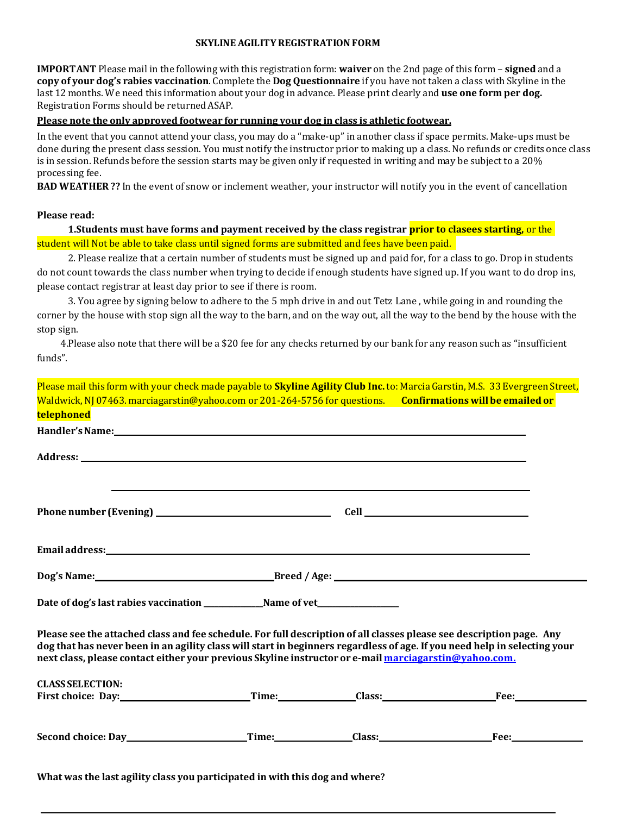#### **SKYLINE AGILITYREGISTRATIONFORM**

**IMPORTANT** Please mail in the following with this registration form: **waiver** on the 2nd page of this form – **signed** and a **copy of your dog's rabies vaccination**. Complete the **Dog Questionnaire** if you have not taken a class with Skyline in the last 12 months. We need this information about your dog in advance. Please print clearly and **use one form per dog.** Registration Forms should be returned ASAP.

## **Please note the only approved footwear for running your dog in class is athletic footwear.**

In the event that you cannot attend your class, you may do a "make-up" in another class if space permits. Make-ups must be done during the present class session. You must notify the instructor prior to making up a class. No refunds or credits once class is in session. Refunds before the session starts may be given only if requested in writing and may be subject to a 20% processing fee.

**BAD WEATHER ??** In the event of snow or inclement weather, your instructor will notify you in the event of cancellation

#### **Please read:**

**1.Students must have forms and payment received by the class registrar prior to clasees starting,** or the student will Not be able to take class until signed forms are submitted and fees have been paid.

2. Please realize that a certain number of students must be signed up and paid for, for a class to go. Drop in students do not count towards the class number when trying to decide if enough students have signed up. If you want to do drop ins, please contact registrar at least day prior to see if there is room.

3. You agree by signing below to adhere to the 5 mph drive in and out Tetz Lane , while going in and rounding the corner by the house with stop sign all the way to the barn, and on the way out, all the way to the bend by the house with the stop sign.

 4.Please also note that there will be a \$20 fee for any checks returned by our bank for any reason such as "insufficient funds".

Please mail this form with your check made payable to **Skyline Agility Club Inc.** to: Marcia Garstin, M.S. 33 Evergreen Street, Waldwick,NJ 07463. [marciagarstin@yahoo.com](mailto:marciagarstin@yahoo.com) or 201-264-5756 for questions. **Confirmations will be emailed or telephoned**

| Email address: Note that the contract of the contract of the contract of the contract of the contract of the contract of the contract of the contract of the contract of the contract of the contract of the contract of the c                                                                                                                             |  |                                                                 |
|------------------------------------------------------------------------------------------------------------------------------------------------------------------------------------------------------------------------------------------------------------------------------------------------------------------------------------------------------------|--|-----------------------------------------------------------------|
|                                                                                                                                                                                                                                                                                                                                                            |  |                                                                 |
|                                                                                                                                                                                                                                                                                                                                                            |  |                                                                 |
| Please see the attached class and fee schedule. For full description of all classes please see description page. Any<br>dog that has never been in an agility class will start in beginners regardless of age. If you need help in selecting your<br>next class, please contact either your previous Skyline instructor or e-mail marciagarstin@vahoo.com. |  |                                                                 |
| <b>CLASS SELECTION:</b>                                                                                                                                                                                                                                                                                                                                    |  | First choice: Day: Time: Time: Class: Class: First choice: Day: |
|                                                                                                                                                                                                                                                                                                                                                            |  |                                                                 |
|                                                                                                                                                                                                                                                                                                                                                            |  |                                                                 |
|                                                                                                                                                                                                                                                                                                                                                            |  |                                                                 |

**What was the last agility class you participated in with this dog and where?**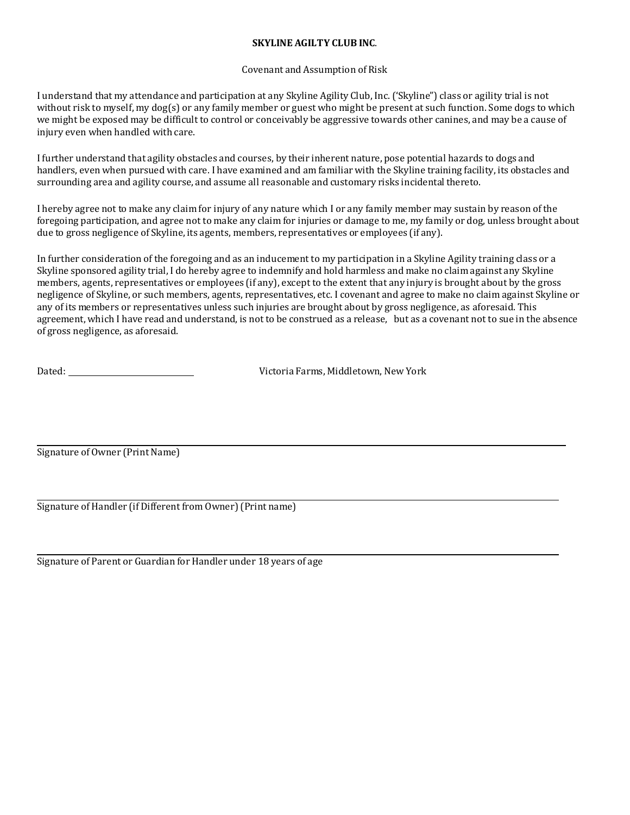# **SKYLINE AGILTY CLUB INC**.

## Covenant and Assumption of Risk

I understand that my attendance and participation at any Skyline Agility Club, Inc. ('Skyline") class or agility trial is not without risk to myself, my dog(s) or any family member or guest who might be present at such function. Some dogs to which we might be exposed may be difficult to control or conceivably be aggressive towards other canines, and may be a cause of injury even when handled with care.

I further understand that agility obstacles and courses, by their inherent nature, pose potential hazards to dogs and handlers, even when pursued with care. I have examined and am familiar with the Skyline training facility, its obstacles and surrounding area and agility course, and assume all reasonable and customary risks incidental thereto.

I hereby agree not to make any claim for injury of any nature which I or any family member may sustain by reason of the foregoing participation, and agree not to make any claim for injuries or damage to me, my family or dog, unless brought about due to gross negligence of Skyline, its agents, members, representatives or employees (if any).

In further consideration of the foregoing and as an inducement to my participation in a Skyline Agility training class or a Skyline sponsored agility trial, I do hereby agree to indemnify and hold harmless and make no claim against any Skyline members, agents, representatives or employees (if any), except to the extent that any injury is brought about by the gross negligence of Skyline, or such members, agents, representatives, etc. I covenant and agree to make no claim against Skyline or any of its members or representatives unless such injuries are brought about by gross negligence, as aforesaid. This agreement, which I have read and understand, is not to be construed as a release, but as a covenant not to sue in the absence of gross negligence, as aforesaid.

| Dated: |  |
|--------|--|
|        |  |

Victoria Farms, Middletown, New York

Signature of Owner (Print Name)

Signature of Handler (if Different from Owner)(Print name)

Signature of Parent or Guardian for Handler under 18 years of age